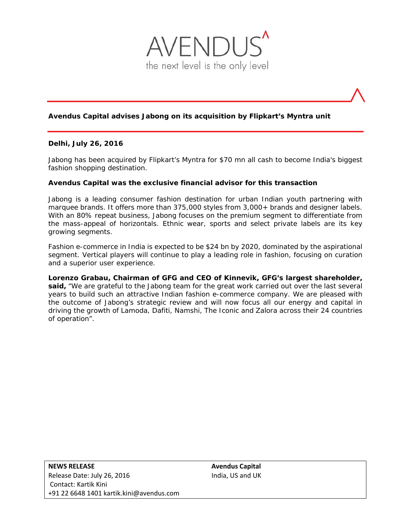

# **Avendus Capital advises Jabong on its acquisition by Flipkart's Myntra unit**

# **Delhi, July 26, 2016**

Jabong has been acquired by Flipkart's Myntra for \$70 mn all cash to become India's biggest fashion shopping destination.

# **Avendus Capital was the exclusive financial advisor for this transaction**

Jabong is a leading consumer fashion destination for urban Indian youth partnering with marquee brands. It offers more than 375,000 styles from 3,000+ brands and designer labels. With an 80% repeat business, Jabong focuses on the premium segment to differentiate from the mass-appeal of horizontals. Ethnic wear, sports and select private labels are its key growing segments.

Fashion e-commerce in India is expected to be \$24 bn by 2020, dominated by the aspirational segment. Vertical players will continue to play a leading role in fashion, focusing on curation and a superior user experience.

**Lorenzo Grabau, Chairman of GFG and CEO of Kinnevik, GFG's largest shareholder, said,** "We are grateful to the Jabong team for the great work carried out over the last several years to build such an attractive Indian fashion e-commerce company. We are pleased with the outcome of Jabong's strategic review and will now focus all our energy and capital in driving the growth of Lamoda, Dafiti, Namshi, The Iconic and Zalora across their 24 countries of operation".

**NEWS RELEASE Avendus Capital**  Release Date: July 26, 2016 India, US and UK Contact: Kartik Kini +91 22 6648 1401 kartik.kini@avendus.com